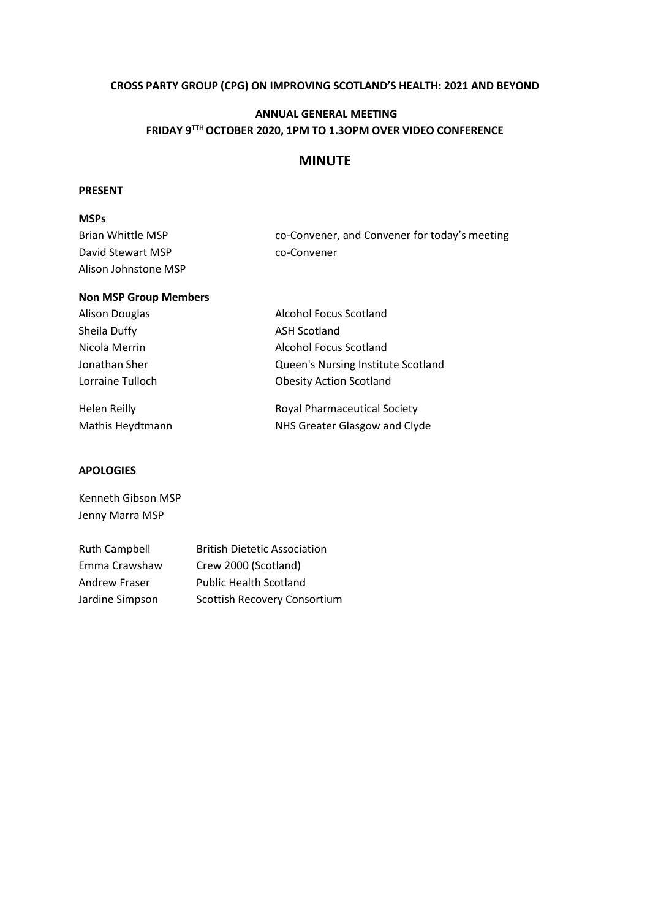### **CROSS PARTY GROUP (CPG) ON IMPROVING SCOTLAND'S HEALTH: 2021 AND BEYOND**

## **ANNUAL GENERAL MEETING FRIDAY 9TTH OCTOBER 2020, 1PM TO 1.3OPM OVER VIDEO CONFERENCE**

### **MINUTE**

#### **PRESENT**

## **MSPs** Brian Whittle MSP co-Convener, and Convener for today's meeting David Stewart MSP co-Convener Alison Johnstone MSP

| <b>Non MSP Group Members</b> |                                     |
|------------------------------|-------------------------------------|
| <b>Alison Douglas</b>        | <b>Alcohol Focus Scotland</b>       |
| Sheila Duffy                 | <b>ASH Scotland</b>                 |
| Nicola Merrin                | Alcohol Focus Scotland              |
| Jonathan Sher                | Queen's Nursing Institute Scotland  |
| Lorraine Tulloch             | <b>Obesity Action Scotland</b>      |
| <b>Helen Reilly</b>          | <b>Royal Pharmaceutical Society</b> |
| Mathis Heydtmann             | NHS Greater Glasgow and Clyde       |

#### **APOLOGIES**

| Kenneth Gibson MSP |
|--------------------|
| Jenny Marra MSP    |

| <b>Ruth Campbell</b> | <b>British Dietetic Association</b> |
|----------------------|-------------------------------------|
| Emma Crawshaw        | Crew 2000 (Scotland)                |
| <b>Andrew Fraser</b> | <b>Public Health Scotland</b>       |
| Jardine Simpson      | Scottish Recovery Consortium        |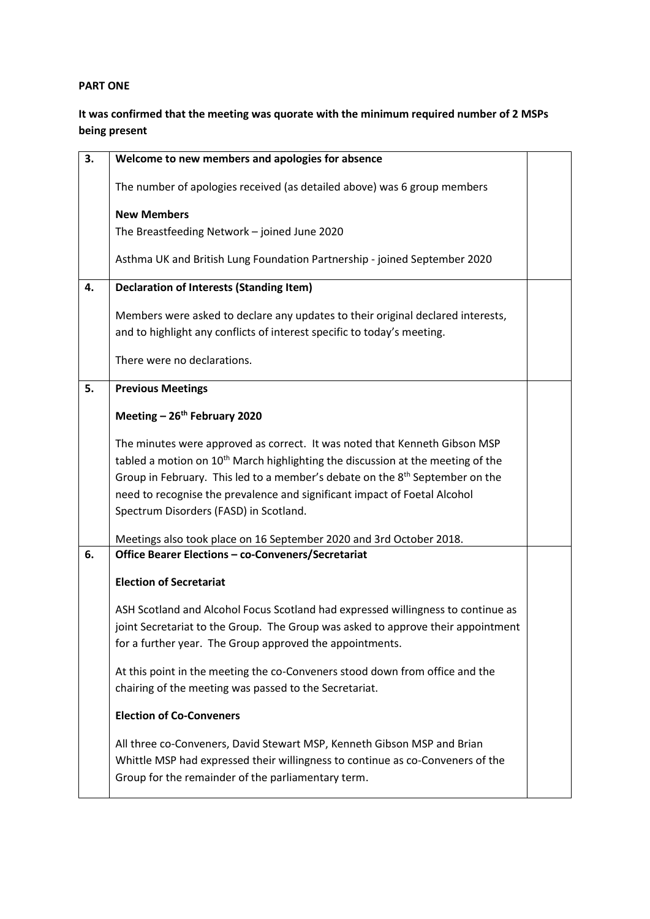### **PART ONE**

# **It was confirmed that the meeting was quorate with the minimum required number of 2 MSPs being present**

| 3. | Welcome to new members and apologies for absence                                                                                                                                                                                                                                                                                                                                                                                                                    |  |
|----|---------------------------------------------------------------------------------------------------------------------------------------------------------------------------------------------------------------------------------------------------------------------------------------------------------------------------------------------------------------------------------------------------------------------------------------------------------------------|--|
|    | The number of apologies received (as detailed above) was 6 group members                                                                                                                                                                                                                                                                                                                                                                                            |  |
|    | <b>New Members</b>                                                                                                                                                                                                                                                                                                                                                                                                                                                  |  |
|    | The Breastfeeding Network - joined June 2020                                                                                                                                                                                                                                                                                                                                                                                                                        |  |
|    | Asthma UK and British Lung Foundation Partnership - joined September 2020                                                                                                                                                                                                                                                                                                                                                                                           |  |
| 4. | <b>Declaration of Interests (Standing Item)</b>                                                                                                                                                                                                                                                                                                                                                                                                                     |  |
|    | Members were asked to declare any updates to their original declared interests,<br>and to highlight any conflicts of interest specific to today's meeting.                                                                                                                                                                                                                                                                                                          |  |
|    | There were no declarations.                                                                                                                                                                                                                                                                                                                                                                                                                                         |  |
| 5. | <b>Previous Meetings</b>                                                                                                                                                                                                                                                                                                                                                                                                                                            |  |
|    | Meeting - 26 <sup>th</sup> February 2020                                                                                                                                                                                                                                                                                                                                                                                                                            |  |
|    | The minutes were approved as correct. It was noted that Kenneth Gibson MSP<br>tabled a motion on 10 <sup>th</sup> March highlighting the discussion at the meeting of the<br>Group in February. This led to a member's debate on the 8 <sup>th</sup> September on the<br>need to recognise the prevalence and significant impact of Foetal Alcohol<br>Spectrum Disorders (FASD) in Scotland.<br>Meetings also took place on 16 September 2020 and 3rd October 2018. |  |
| 6. | Office Bearer Elections - co-Conveners/Secretariat                                                                                                                                                                                                                                                                                                                                                                                                                  |  |
|    | <b>Election of Secretariat</b>                                                                                                                                                                                                                                                                                                                                                                                                                                      |  |
|    | ASH Scotland and Alcohol Focus Scotland had expressed willingness to continue as<br>joint Secretariat to the Group. The Group was asked to approve their appointment<br>for a further year. The Group approved the appointments.                                                                                                                                                                                                                                    |  |
|    | At this point in the meeting the co-Conveners stood down from office and the<br>chairing of the meeting was passed to the Secretariat.                                                                                                                                                                                                                                                                                                                              |  |
|    | <b>Election of Co-Conveners</b>                                                                                                                                                                                                                                                                                                                                                                                                                                     |  |
|    | All three co-Conveners, David Stewart MSP, Kenneth Gibson MSP and Brian<br>Whittle MSP had expressed their willingness to continue as co-Conveners of the<br>Group for the remainder of the parliamentary term.                                                                                                                                                                                                                                                     |  |